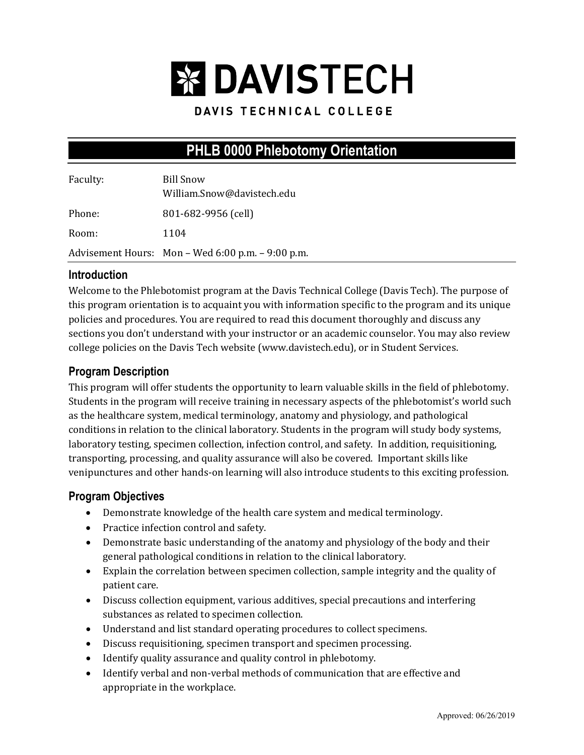

### DAVIS TECHNICAL COLLEGE

# **PHLB 0000 Phlebotomy Orientation**

| Faculty: | <b>Bill Snow</b><br>William.Snow@davistech.edu      |
|----------|-----------------------------------------------------|
| Phone:   | 801-682-9956 (cell)                                 |
| Room:    | 1104                                                |
|          | Advisement Hours: $Mon - Wed 6:00 p.m. - 9:00 p.m.$ |

#### **Introduction**

Welcome to the Phlebotomist program at the Davis Technical College (Davis Tech). The purpose of this program orientation is to acquaint you with information specific to the program and its unique policies and procedures. You are required to read this document thoroughly and discuss any sections you don't understand with your instructor or an academic counselor. You may also review college policies on the Davis Tech website (www.davistech.edu), or in Student Services.

### **Program Description**

This program will offer students the opportunity to learn valuable skills in the field of phlebotomy. Students in the program will receive training in necessary aspects of the phlebotomist's world such as the healthcare system, medical terminology, anatomy and physiology, and pathological conditions in relation to the clinical laboratory. Students in the program will study body systems, laboratory testing, specimen collection, infection control, and safety. In addition, requisitioning, transporting, processing, and quality assurance will also be covered. Important skills like venipunctures and other hands-on learning will also introduce students to this exciting profession.

### **Program Objectives**

- Demonstrate knowledge of the health care system and medical terminology.
- Practice infection control and safety.
- Demonstrate basic understanding of the anatomy and physiology of the body and their general pathological conditions in relation to the clinical laboratory.
- Explain the correlation between specimen collection, sample integrity and the quality of patient care.
- Discuss collection equipment, various additives, special precautions and interfering substances as related to specimen collection.
- Understand and list standard operating procedures to collect specimens.
- Discuss requisitioning, specimen transport and specimen processing.
- Identify quality assurance and quality control in phlebotomy.
- Identify verbal and non-verbal methods of communication that are effective and appropriate in the workplace.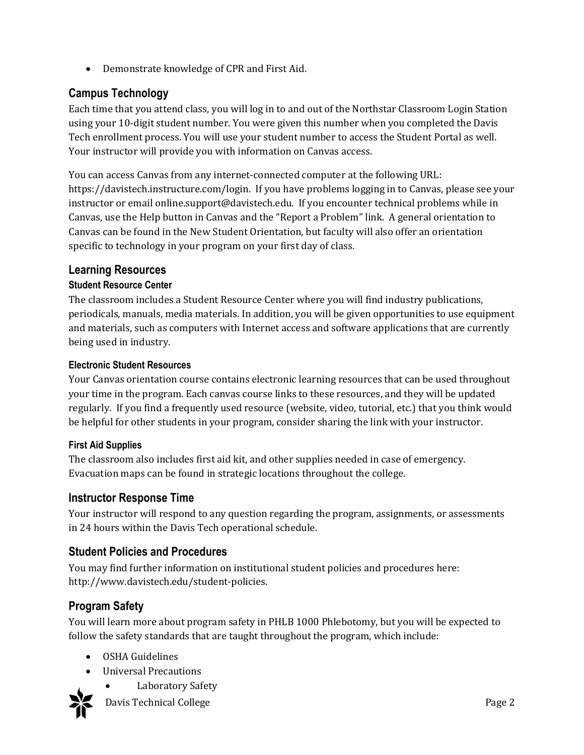• Demonstrate knowledge of CPR and First Aid.

# **Campus Technology**

Each time that you attend class, you will log in to and out of the Northstar Classroom Login Station using your 10-digit student number. You were given this number when you completed the Davis Tech enrollment process. You will use your student number to access the Student Portal as well. Your instructor will provide you with information on Canvas access.

You can access Canvas from any internet-connected computer at the following URL: https://davistech.instructure.com/login. If you have problems logging in to Canvas, please see your instructor or email online.support@davistech.edu. If you encounter technical problems while in Canvas, use the Help button in Canvas and the "Report a Problem" link. A general orientation to Canvas can be found in the New Student Orientation, but faculty will also offer an orientation specific to technology in your program on your first day of class.

### **Learning Resources**

#### **Student Resource Center**

The classroom includes a Student Resource Center where you will find industry publications, periodicals, manuals, media materials. In addition, you will be given opportunities to use equipment and materials, such as computers with Internet access and software applications that are currently being used in industry.

#### **Electronic Student Resources**

Your Canvas orientation course contains electronic learning resources that can be used throughout your time in the program. Each canvas course links to these resources, and they will be updated regularly. If you find a frequently used resource (website, video, tutorial, etc.) that you think would be helpful for other students in your program, consider sharing the link with your instructor.

#### **First Aid Supplies**

The classroom also includes first aid kit, and other supplies needed in case of emergency. Evacuation maps can be found in strategic locations throughout the college.

### **Instructor Response Time**

Your instructor will respond to any question regarding the program, assignments, or assessments in 24 hours within the Davis Tech operational schedule.

### **Student Policies and Procedures**

You may find further information on institutional student policies and procedures here: http://www.davistech.edu/student-policies.

# **Program Safety**

You will learn more about program safety in PHLB 1000 Phlebotomy, but you will be expected to follow the safety standards that are taught throughout the program, which include:

- OSHA Guidelines
- Universal Precautions
	- Laboratory Safety



Davis Technical College **Page 2**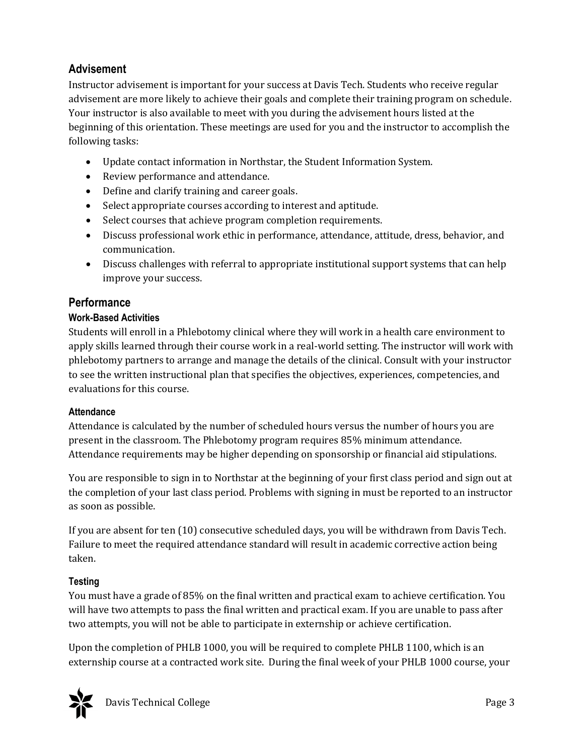# **Advisement**

Instructor advisement is important for your success at Davis Tech. Students who receive regular advisement are more likely to achieve their goals and complete their training program on schedule. Your instructor is also available to meet with you during the advisement hours listed at the beginning of this orientation. These meetings are used for you and the instructor to accomplish the following tasks:

- Update contact information in Northstar, the Student Information System.
- Review performance and attendance.
- Define and clarify training and career goals.
- Select appropriate courses according to interest and aptitude.
- Select courses that achieve program completion requirements.
- Discuss professional work ethic in performance, attendance, attitude, dress, behavior, and communication.
- Discuss challenges with referral to appropriate institutional support systems that can help improve your success.

### **Performance**

#### **Work-Based Activities**

Students will enroll in a Phlebotomy clinical where they will work in a health care environment to apply skills learned through their course work in a real-world setting. The instructor will work with phlebotomy partners to arrange and manage the details of the clinical. Consult with your instructor to see the written instructional plan that specifies the objectives, experiences, competencies, and evaluations for this course.

#### **Attendance**

Attendance is calculated by the number of scheduled hours versus the number of hours you are present in the classroom. The Phlebotomy program requires 85% minimum attendance. Attendance requirements may be higher depending on sponsorship or financial aid stipulations.

You are responsible to sign in to Northstar at the beginning of your first class period and sign out at the completion of your last class period. Problems with signing in must be reported to an instructor as soon as possible.

If you are absent for ten (10) consecutive scheduled days, you will be withdrawn from Davis Tech. Failure to meet the required attendance standard will result in academic corrective action being taken.

#### **Testing**

You must have a grade of 85% on the final written and practical exam to achieve certification. You will have two attempts to pass the final written and practical exam. If you are unable to pass after two attempts, you will not be able to participate in externship or achieve certification.

Upon the completion of PHLB 1000, you will be required to complete PHLB 1100, which is an externship course at a contracted work site. During the final week of your PHLB 1000 course, your

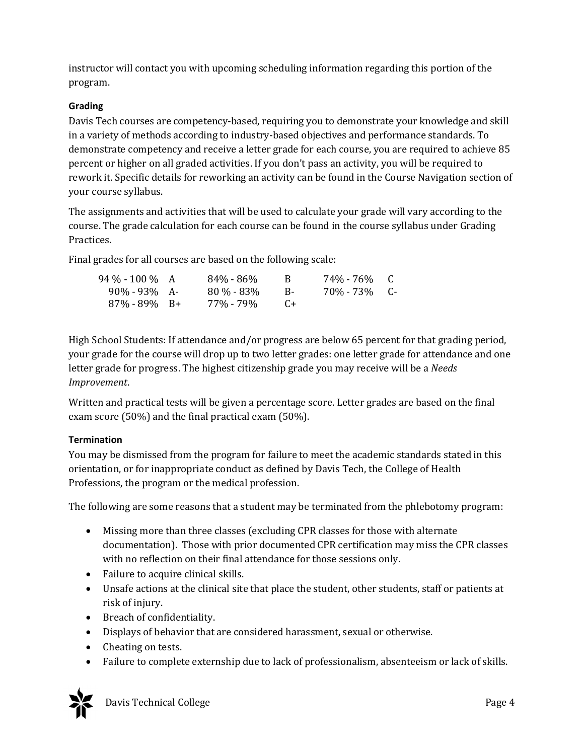instructor will contact you with upcoming scheduling information regarding this portion of the program.

#### **Grading**

Davis Tech courses are competency-based, requiring you to demonstrate your knowledge and skill in a variety of methods according to industry-based objectives and performance standards. To demonstrate competency and receive a letter grade for each course, you are required to achieve 85 percent or higher on all graded activities. If you don't pass an activity, you will be required to rework it. Specific details for reworking an activity can be found in the Course Navigation section of your course syllabus.

The assignments and activities that will be used to calculate your grade will vary according to the course. The grade calculation for each course can be found in the course syllabus under Grading Practices.

Final grades for all courses are based on the following scale:

| 94 % - 100 % A   | $84\% - 86\%$ | — н.                                                | 74%-76% C  |  |
|------------------|---------------|-----------------------------------------------------|------------|--|
| $90\% - 93\%$ A- | $80\% - 83\%$ | - R-                                                | 70%-73% C- |  |
| $87\% - 89\%$ B+ | 77% - 79%     | $\left( \begin{array}{c} \cdot \end{array} \right)$ |            |  |

High School Students: If attendance and/or progress are below 65 percent for that grading period, your grade for the course will drop up to two letter grades: one letter grade for attendance and one letter grade for progress. The highest citizenship grade you may receive will be a *Needs Improvement*.

Written and practical tests will be given a percentage score. Letter grades are based on the final exam score (50%) and the final practical exam (50%).

#### **Termination**

You may be dismissed from the program for failure to meet the academic standards stated in this orientation, or for inappropriate conduct as defined by Davis Tech, the College of Health Professions, the program or the medical profession.

The following are some reasons that a student may be terminated from the phlebotomy program:

- Missing more than three classes (excluding CPR classes for those with alternate documentation). Those with prior documented CPR certification may miss the CPR classes with no reflection on their final attendance for those sessions only.
- Failure to acquire clinical skills.
- Unsafe actions at the clinical site that place the student, other students, staff or patients at risk of injury.
- Breach of confidentiality.
- Displays of behavior that are considered harassment, sexual or otherwise.
- Cheating on tests.
- Failure to complete externship due to lack of professionalism, absenteeism or lack of skills.



Davis Technical College Page 4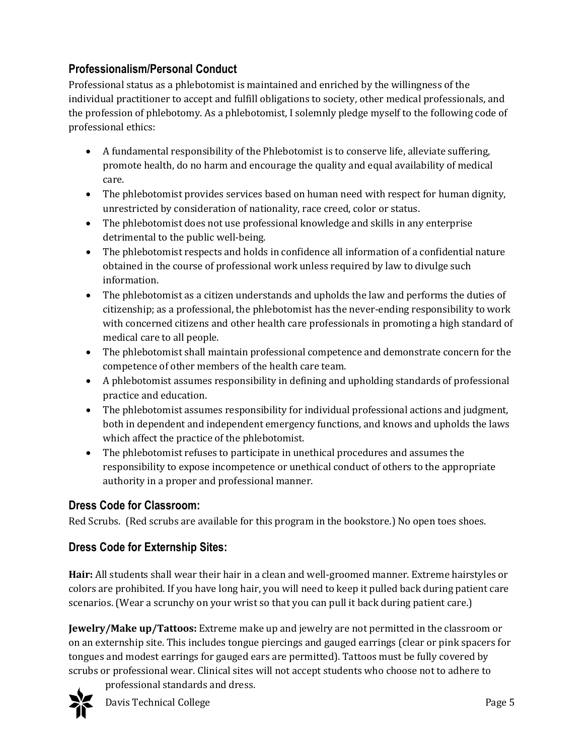# **Professionalism/Personal Conduct**

Professional status as a phlebotomist is maintained and enriched by the willingness of the individual practitioner to accept and fulfill obligations to society, other medical professionals, and the profession of phlebotomy. As a phlebotomist, I solemnly pledge myself to the following code of professional ethics:

- A fundamental responsibility of the Phlebotomist is to conserve life, alleviate suffering, promote health, do no harm and encourage the quality and equal availability of medical care.
- The phlebotomist provides services based on human need with respect for human dignity, unrestricted by consideration of nationality, race creed, color or status.
- The phlebotomist does not use professional knowledge and skills in any enterprise detrimental to the public well-being.
- The phlebotomist respects and holds in confidence all information of a confidential nature obtained in the course of professional work unless required by law to divulge such information.
- The phlebotomist as a citizen understands and upholds the law and performs the duties of citizenship; as a professional, the phlebotomist has the never-ending responsibility to work with concerned citizens and other health care professionals in promoting a high standard of medical care to all people.
- The phlebotomist shall maintain professional competence and demonstrate concern for the competence of other members of the health care team.
- A phlebotomist assumes responsibility in defining and upholding standards of professional practice and education.
- The phlebotomist assumes responsibility for individual professional actions and judgment, both in dependent and independent emergency functions, and knows and upholds the laws which affect the practice of the phlebotomist.
- The phlebotomist refuses to participate in unethical procedures and assumes the responsibility to expose incompetence or unethical conduct of others to the appropriate authority in a proper and professional manner.

### **Dress Code for Classroom:**

Red Scrubs. (Red scrubs are available for this program in the bookstore.) No open toes shoes.

# **Dress Code for Externship Sites:**

**Hair:** All students shall wear their hair in a clean and well-groomed manner. Extreme hairstyles or colors are prohibited. If you have long hair, you will need to keep it pulled back during patient care scenarios. (Wear a scrunchy on your wrist so that you can pull it back during patient care.)

**Jewelry/Make up/Tattoos:** Extreme make up and jewelry are not permitted in the classroom or on an externship site. This includes tongue piercings and gauged earrings (clear or pink spacers for tongues and modest earrings for gauged ears are permitted). Tattoos must be fully covered by scrubs or professional wear. Clinical sites will not accept students who choose not to adhere to

professional standards and dress.

Davis Technical College **Page 5**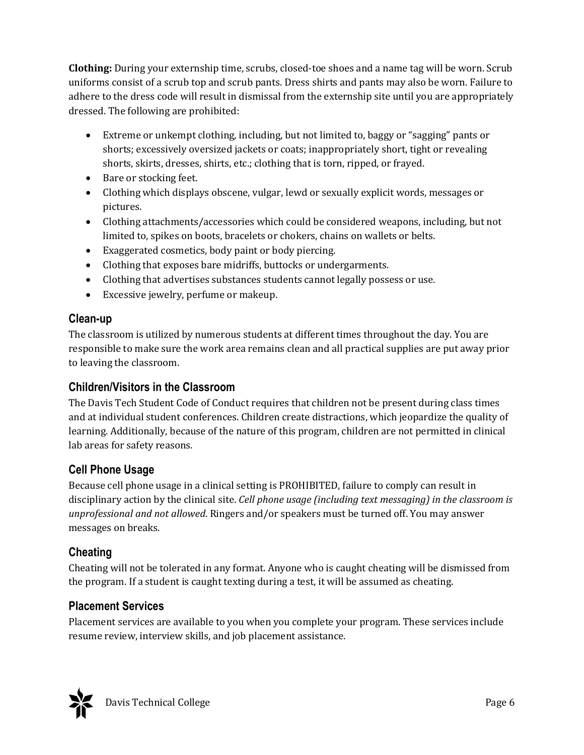**Clothing:** During your externship time, scrubs, closed-toe shoes and a name tag will be worn. Scrub uniforms consist of a scrub top and scrub pants. Dress shirts and pants may also be worn. Failure to adhere to the dress code will result in dismissal from the externship site until you are appropriately dressed. The following are prohibited:

- Extreme or unkempt clothing, including, but not limited to, baggy or "sagging" pants or shorts; excessively oversized jackets or coats; inappropriately short, tight or revealing shorts, skirts, dresses, shirts, etc.; clothing that is torn, ripped, or frayed.
- Bare or stocking feet.
- Clothing which displays obscene, vulgar, lewd or sexually explicit words, messages or pictures.
- Clothing attachments/accessories which could be considered weapons, including, but not limited to, spikes on boots, bracelets or chokers, chains on wallets or belts.
- Exaggerated cosmetics, body paint or body piercing.
- Clothing that exposes bare midriffs, buttocks or undergarments.
- Clothing that advertises substances students cannot legally possess or use.
- Excessive jewelry, perfume or makeup.

### **Clean-up**

The classroom is utilized by numerous students at different times throughout the day. You are responsible to make sure the work area remains clean and all practical supplies are put away prior to leaving the classroom.

# **Children/Visitors in the Classroom**

The Davis Tech Student Code of Conduct requires that children not be present during class times and at individual student conferences. Children create distractions, which jeopardize the quality of learning. Additionally, because of the nature of this program, children are not permitted in clinical lab areas for safety reasons.

# **Cell Phone Usage**

Because cell phone usage in a clinical setting is PROHIBITED, failure to comply can result in disciplinary action by the clinical site. *Cell phone usage (including text messaging) in the classroom is unprofessional and not allowed*. Ringers and/or speakers must be turned off. You may answer messages on breaks.

# **Cheating**

Cheating will not be tolerated in any format. Anyone who is caught cheating will be dismissed from the program. If a student is caught texting during a test, it will be assumed as cheating.

# **Placement Services**

Placement services are available to you when you complete your program. These services include resume review, interview skills, and job placement assistance.